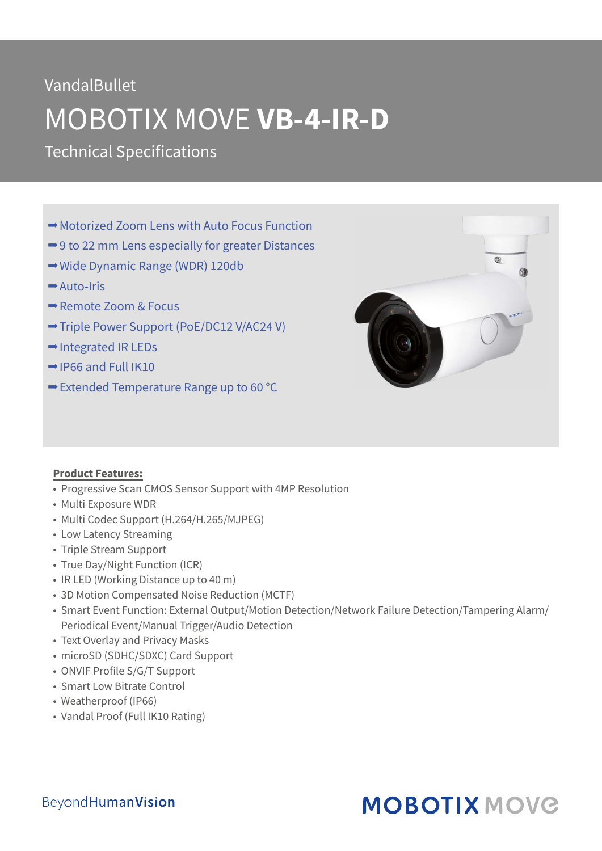# VandalBullet MOBOTIX MOVE **VB-4-IR-D**

Technical Specifications

- **→ Motorized Zoom Lens with Auto Focus Function**
- **→ 9 to 22 mm Lens especially for greater Distances**
- **→ Wide Dynamic Range (WDR) 120db**
- Auto-Iris
- Remote Zoom & Focus
- Triple Power Support (PoE/DC12 V/AC24 V)
- **→ Integrated IR LEDs**
- $\rightarrow$  IP66 and Full IK10
- $\rightarrow$  **Extended Temperature Range up to 60 °C**



#### **Product Features:**

- Progressive Scan CMOS Sensor Support with 4MP Resolution
- Multi Exposure WDR
- Multi Codec Support (H.264/H.265/MJPEG)
- Low Latency Streaming
- Triple Stream Support
- True Day/Night Function (ICR)
- IR LED (Working Distance up to 40 m)
- 3D Motion Compensated Noise Reduction (MCTF)
- Smart Event Function: External Output/Motion Detection/Network Failure Detection/Tampering Alarm/ Periodical Event/Manual Trigger/Audio Detection
- Text Overlay and Privacy Masks
- microSD (SDHC/SDXC) Card Support
- ONVIF Profile S/G/T Support
- Smart Low Bitrate Control
- Weatherproof (IP66)
- Vandal Proof (Full IK10 Rating)

## **MOBOTIX MOVG**

### **BeyondHumanVision**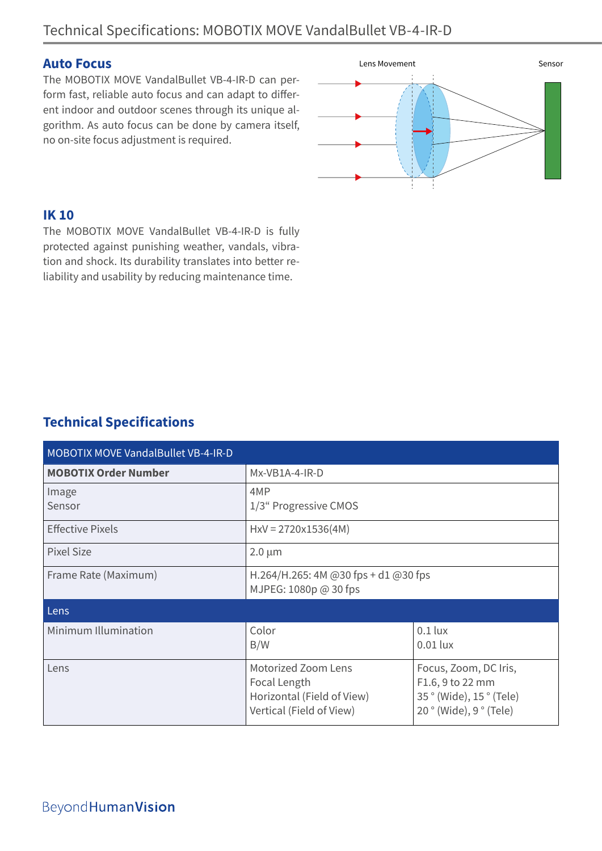#### **Auto Focus**

The MOBOTIX MOVE VandalBullet VB-4-IR-D can perform fast, reliable auto focus and can adapt to different indoor and outdoor scenes through its unique algorithm. As auto focus can be done by camera itself, no on-site focus adjustment is required.



#### **IK 10**

The MOBOTIX MOVE VandalBullet VB-4-IR-D is fully protected against punishing weather, vandals, vibration and shock. Its durability translates into better reliability and usability by reducing maintenance time.

### **Technical Specifications**

| <b>MOBOTIX MOVE VandalBullet VB-4-IR-D</b> |                                                                                               |                                                                                                    |  |  |
|--------------------------------------------|-----------------------------------------------------------------------------------------------|----------------------------------------------------------------------------------------------------|--|--|
| <b>MOBOTIX Order Number</b>                | Mx-VB1A-4-IR-D                                                                                |                                                                                                    |  |  |
| Image<br>Sensor                            | 4MP<br>1/3" Progressive CMOS                                                                  |                                                                                                    |  |  |
| <b>Effective Pixels</b>                    | $HxV = 2720x1536(4M)$                                                                         |                                                                                                    |  |  |
| <b>Pixel Size</b>                          | $2.0 \mu m$                                                                                   |                                                                                                    |  |  |
| Frame Rate (Maximum)                       | H.264/H.265: 4M @30 fps + d1 @30 fps<br>MJPEG: 1080p @ 30 fps                                 |                                                                                                    |  |  |
| Lens                                       |                                                                                               |                                                                                                    |  |  |
| Minimum Illumination                       | Color<br>B/W                                                                                  | $0.1$ lux<br>$0.01$ lux                                                                            |  |  |
| Lens                                       | Motorized Zoom Lens<br>Focal Length<br>Horizontal (Field of View)<br>Vertical (Field of View) | Focus, Zoom, DC Iris,<br>F1.6, 9 to 22 mm<br>35 ° (Wide), 15 ° (Tele)<br>$20°$ (Wide), $9°$ (Tele) |  |  |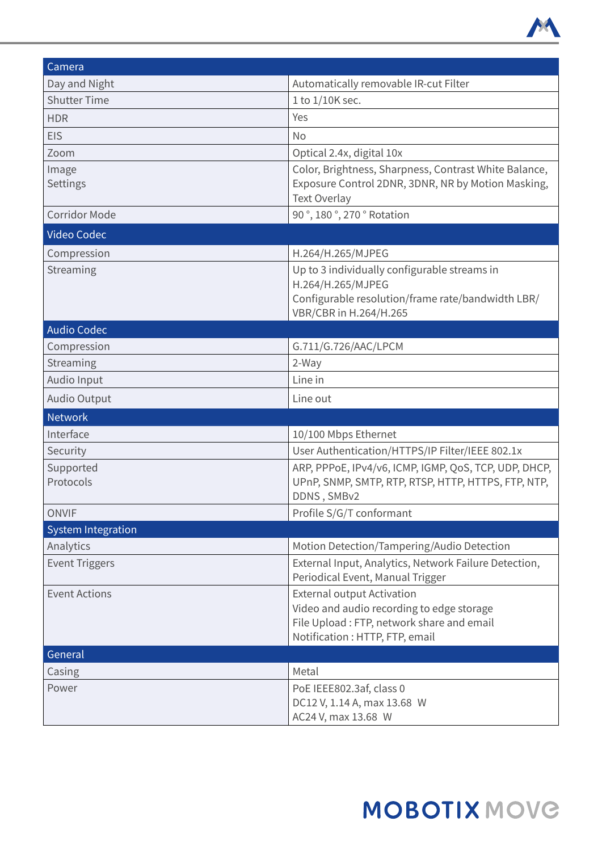

| Camera                    |                                                                                                                                                                |  |
|---------------------------|----------------------------------------------------------------------------------------------------------------------------------------------------------------|--|
| Day and Night             | Automatically removable IR-cut Filter                                                                                                                          |  |
| <b>Shutter Time</b>       | 1 to 1/10K sec.                                                                                                                                                |  |
| <b>HDR</b>                | Yes                                                                                                                                                            |  |
| <b>EIS</b>                | <b>No</b>                                                                                                                                                      |  |
| Zoom                      | Optical 2.4x, digital 10x                                                                                                                                      |  |
| Image<br>Settings         | Color, Brightness, Sharpness, Contrast White Balance,<br>Exposure Control 2DNR, 3DNR, NR by Motion Masking,<br><b>Text Overlay</b>                             |  |
| <b>Corridor Mode</b>      | 90°, 180°, 270° Rotation                                                                                                                                       |  |
| Video Codec               |                                                                                                                                                                |  |
| Compression               | H.264/H.265/MJPEG                                                                                                                                              |  |
| Streaming                 | Up to 3 individually configurable streams in<br>H.264/H.265/MJPEG<br>Configurable resolution/frame rate/bandwidth LBR/<br>VBR/CBR in H.264/H.265               |  |
| <b>Audio Codec</b>        |                                                                                                                                                                |  |
| Compression               | G.711/G.726/AAC/LPCM                                                                                                                                           |  |
| Streaming                 | 2-Way                                                                                                                                                          |  |
| Audio Input               | Line in                                                                                                                                                        |  |
| <b>Audio Output</b>       | Line out                                                                                                                                                       |  |
| <b>Network</b>            |                                                                                                                                                                |  |
| Interface                 | 10/100 Mbps Ethernet                                                                                                                                           |  |
| Security                  | User Authentication/HTTPS/IP Filter/IEEE 802.1x                                                                                                                |  |
| Supported<br>Protocols    | ARP, PPPOE, IPv4/v6, ICMP, IGMP, QoS, TCP, UDP, DHCP,<br>UPnP, SNMP, SMTP, RTP, RTSP, HTTP, HTTPS, FTP, NTP,<br>DDNS, SMBv2                                    |  |
| <b>ONVIF</b>              | Profile S/G/T conformant                                                                                                                                       |  |
| <b>System Integration</b> |                                                                                                                                                                |  |
| Analytics                 | Motion Detection/Tampering/Audio Detection                                                                                                                     |  |
| <b>Event Triggers</b>     | External Input, Analytics, Network Failure Detection,<br>Periodical Event, Manual Trigger                                                                      |  |
| <b>Event Actions</b>      | <b>External output Activation</b><br>Video and audio recording to edge storage<br>File Upload: FTP, network share and email<br>Notification : HTTP, FTP, email |  |
| General                   |                                                                                                                                                                |  |
| Casing                    | Metal                                                                                                                                                          |  |
| Power                     | PoE IEEE802.3af, class 0<br>DC12 V, 1.14 A, max 13.68 W<br>AC24 V, max 13.68 W                                                                                 |  |

# **MOBOTIX MOVG**